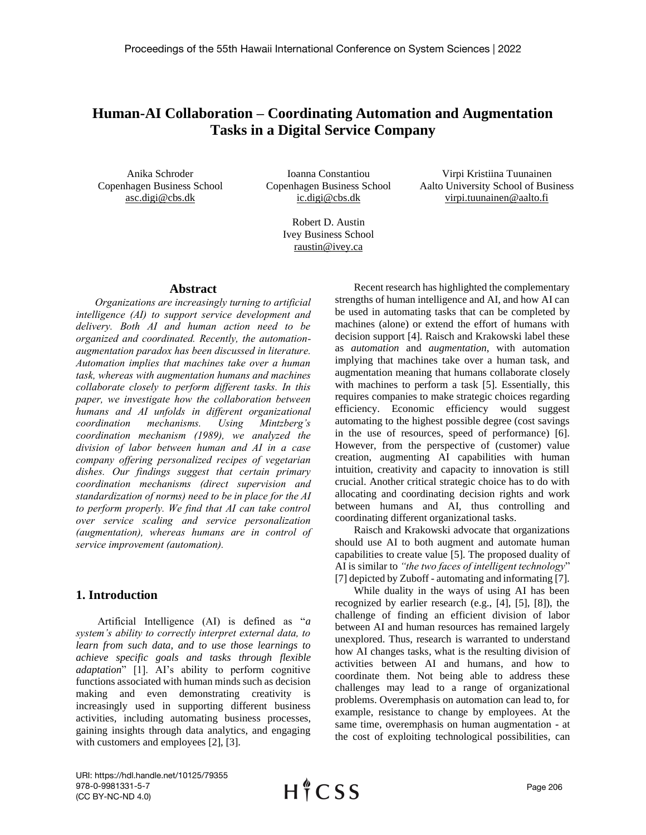# **Human-AI Collaboration – Coordinating Automation and Augmentation Tasks in a Digital Service Company**

Anika Schroder Copenhagen Business School asc.digi@cbs.dk

Ioanna Constantiou Copenhagen Business School ic.digi@cbs.dk

Virpi Kristiina Tuunainen Aalto University School of Business virpi.tuunainen@aalto.fi

Robert D. Austin Ivey Business School raustin@ivey.ca

## **Abstract**

*Organizations are increasingly turning to artificial intelligence (AI) to support service development and delivery. Both AI and human action need to be organized and coordinated. Recently, the automationaugmentation paradox has been discussed in literature. Automation implies that machines take over a human task, whereas with augmentation humans and machines collaborate closely to perform different tasks. In this paper, we investigate how the collaboration between humans and AI unfolds in different organizational coordination mechanisms. Using Mintzberg's coordination mechanism (1989), we analyzed the division of labor between human and AI in a case company offering personalized recipes of vegetarian dishes. Our findings suggest that certain primary coordination mechanisms (direct supervision and standardization of norms) need to be in place for the AI to perform properly. We find that AI can take control over service scaling and service personalization (augmentation), whereas humans are in control of service improvement (automation).*

## **1. Introduction**

Artificial Intelligence (AI) is defined as "*a system's ability to correctly interpret external data, to learn from such data, and to use those learnings to achieve specific goals and tasks through flexible adaptation*" [1]. AI's ability to perform cognitive functions associated with human minds such as decision making and even demonstrating creativity is increasingly used in supporting different business activities, including automating business processes, gaining insights through data analytics, and engaging with customers and employees [2], [3].

Recent research has highlighted the complementary strengths of human intelligence and AI, and how AI can be used in automating tasks that can be completed by machines (alone) or extend the effort of humans with decision support [4]. Raisch and Krakowski label these as *automation* and *augmentation*, with automation implying that machines take over a human task, and augmentation meaning that humans collaborate closely with machines to perform a task [5]. Essentially, this requires companies to make strategic choices regarding efficiency. Economic efficiency would suggest automating to the highest possible degree (cost savings in the use of resources, speed of performance) [6]. However, from the perspective of (customer) value creation, augmenting AI capabilities with human intuition, creativity and capacity to innovation is still crucial. Another critical strategic choice has to do with allocating and coordinating decision rights and work between humans and AI, thus controlling and coordinating different organizational tasks.

Raisch and Krakowski advocate that organizations should use AI to both augment and automate human capabilities to create value [5]. The proposed duality of AI is similar to *"the two faces of intelligent technology*" [7] depicted by Zuboff - automating and informating [7].

While duality in the ways of using AI has been recognized by earlier research (e.g., [4], [5], [8]), the challenge of finding an efficient division of labor between AI and human resources has remained largely unexplored. Thus, research is warranted to understand how AI changes tasks, what is the resulting division of activities between AI and humans, and how to coordinate them. Not being able to address these challenges may lead to a range of organizational problems. Overemphasis on automation can lead to, for example, resistance to change by employees. At the same time, overemphasis on human augmentation - at the cost of exploiting technological possibilities, can

URI: https://hdl.handle.net/10125/79355 978-0-9981331-5-7 (CC BY-NC-ND 4.0)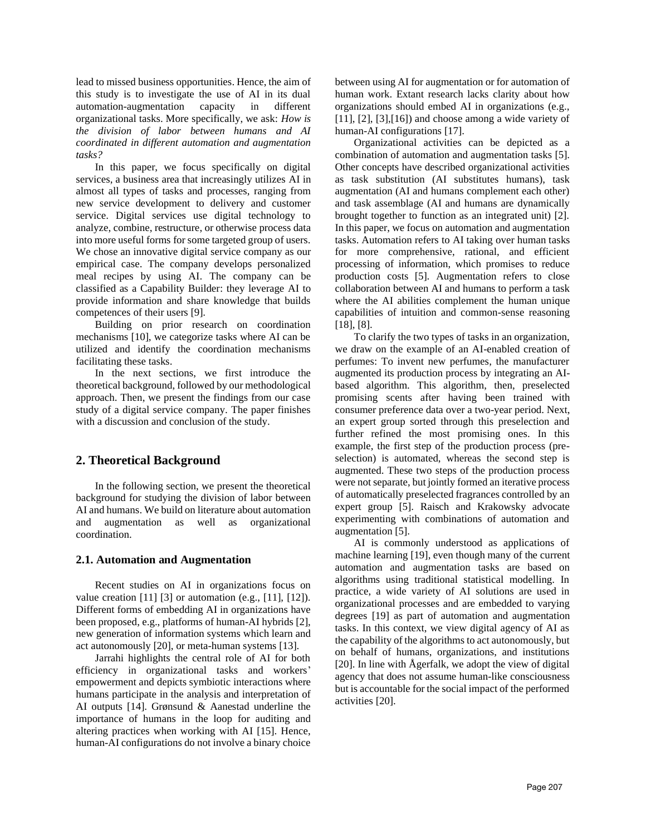lead to missed business opportunities. Hence, the aim of this study is to investigate the use of AI in its dual automation-augmentation capacity in different organizational tasks. More specifically, we ask: *How is the division of labor between humans and AI coordinated in different automation and augmentation tasks?* 

In this paper, we focus specifically on digital services, a business area that increasingly utilizes AI in almost all types of tasks and processes, ranging from new service development to delivery and customer service. Digital services use digital technology to analyze, combine, restructure, or otherwise process data into more useful forms for some targeted group of users. We chose an innovative digital service company as our empirical case. The company develops personalized meal recipes by using AI. The company can be classified as a Capability Builder: they leverage AI to provide information and share knowledge that builds competences of their users [9].

Building on prior research on coordination mechanisms [10], we categorize tasks where AI can be utilized and identify the coordination mechanisms facilitating these tasks.

In the next sections, we first introduce the theoretical background, followed by our methodological approach. Then, we present the findings from our case study of a digital service company. The paper finishes with a discussion and conclusion of the study.

# **2. Theoretical Background**

In the following section, we present the theoretical background for studying the division of labor between AI and humans. We build on literature about automation and augmentation as well as organizational coordination.

## **2.1. Automation and Augmentation**

Recent studies on AI in organizations focus on value creation [11] [3] or automation (e.g., [11], [12]). Different forms of embedding AI in organizations have been proposed, e.g., platforms of human-AI hybrids [2], new generation of information systems which learn and act autonomously [20], or meta-human systems [13].

Jarrahi highlights the central role of AI for both efficiency in organizational tasks and workers' empowerment and depicts symbiotic interactions where humans participate in the analysis and interpretation of AI outputs [14]. Grønsund & Aanestad underline the importance of humans in the loop for auditing and altering practices when working with AI [15]. Hence, human-AI configurations do not involve a binary choice

between using AI for augmentation or for automation of human work. Extant research lacks clarity about how organizations should embed AI in organizations (e.g.,  $[11]$ ,  $[2]$ ,  $[3]$ ,  $[16]$ ) and choose among a wide variety of human-AI configurations [17].

Organizational activities can be depicted as a combination of automation and augmentation tasks [5]. Other concepts have described organizational activities as task substitution (AI substitutes humans), task augmentation (AI and humans complement each other) and task assemblage (AI and humans are dynamically brought together to function as an integrated unit) [2]. In this paper, we focus on automation and augmentation tasks. Automation refers to AI taking over human tasks for more comprehensive, rational, and efficient processing of information, which promises to reduce production costs [5]. Augmentation refers to close collaboration between AI and humans to perform a task where the AI abilities complement the human unique capabilities of intuition and common-sense reasoning [18], [8].

To clarify the two types of tasks in an organization, we draw on the example of an AI-enabled creation of perfumes: To invent new perfumes, the manufacturer augmented its production process by integrating an AIbased algorithm. This algorithm, then, preselected promising scents after having been trained with consumer preference data over a two-year period. Next, an expert group sorted through this preselection and further refined the most promising ones. In this example, the first step of the production process (preselection) is automated, whereas the second step is augmented. These two steps of the production process were not separate, but jointly formed an iterative process of automatically preselected fragrances controlled by an expert group [5]. Raisch and Krakowsky advocate experimenting with combinations of automation and augmentation [5].

AI is commonly understood as applications of machine learning [19], even though many of the current automation and augmentation tasks are based on algorithms using traditional statistical modelling. In practice, a wide variety of AI solutions are used in organizational processes and are embedded to varying degrees [19] as part of automation and augmentation tasks. In this context, we view digital agency of AI as the capability of the algorithms to act autonomously, but on behalf of humans, organizations, and institutions [20]. In line with Ågerfalk, we adopt the view of digital agency that does not assume human-like consciousness but is accountable for the social impact of the performed activities [20].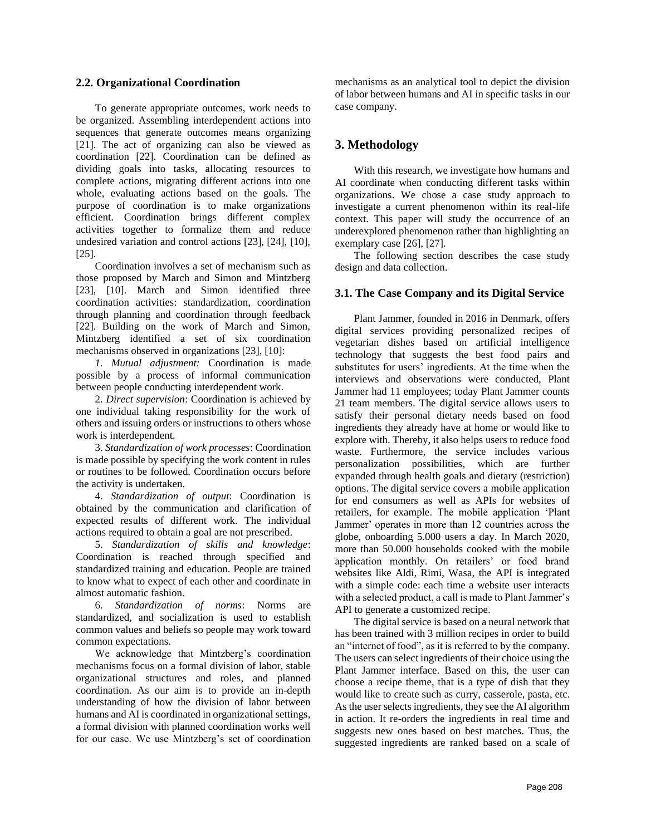#### **2.2. Organizational Coordination**

To generate appropriate outcomes, work needs to be organized. Assembling interdependent actions into sequences that generate outcomes means organizing [21]. The act of organizing can also be viewed as coordination [22]. Coordination can be defined as dividing goals into tasks, allocating resources to complete actions, migrating different actions into one whole, evaluating actions based on the goals. The purpose of coordination is to make organizations efficient. Coordination brings different complex activities together to formalize them and reduce undesired variation and control actions [23], [24], [10], [25].

Coordination involves a set of mechanism such as those proposed by March and Simon and Mintzberg [23], [10]. March and Simon identified three coordination activities: standardization, coordination through planning and coordination through feedback [22]. Building on the work of March and Simon, Mintzberg identified a set of six coordination mechanisms observed in organizations [23], [10]:

*1. Mutual adjustment:* Coordination is made possible by a process of informal communication between people conducting interdependent work.

2. *Direct supervision*: Coordination is achieved by one individual taking responsibility for the work of others and issuing orders or instructions to others whose work is interdependent.

3. *Standardization of work processes*: Coordination is made possible by specifying the work content in rules or routines to be followed. Coordination occurs before the activity is undertaken.

4. *Standardization of output*: Coordination is obtained by the communication and clarification of expected results of different work. The individual actions required to obtain a goal are not prescribed.

5. *Standardization of skills and knowledge*: Coordination is reached through specified and standardized training and education. People are trained to know what to expect of each other and coordinate in almost automatic fashion.

6. *Standardization of norms*: Norms are standardized, and socialization is used to establish common values and beliefs so people may work toward common expectations.

We acknowledge that Mintzberg's coordination mechanisms focus on a formal division of labor, stable organizational structures and roles, and planned coordination. As our aim is to provide an in-depth understanding of how the division of labor between humans and AI is coordinated in organizational settings, a formal division with planned coordination works well for our case. We use Mintzberg's set of coordination

mechanisms as an analytical tool to depict the division of labor between humans and AI in specific tasks in our case company.

# **3. Methodology**

With this research, we investigate how humans and AI coordinate when conducting different tasks within organizations. We chose a case study approach to investigate a current phenomenon within its real-life context. This paper will study the occurrence of an underexplored phenomenon rather than highlighting an exemplary case [26], [27].

The following section describes the case study design and data collection.

## **3.1. The Case Company and its Digital Service**

Plant Jammer, founded in 2016 in Denmark, offers digital services providing personalized recipes of vegetarian dishes based on artificial intelligence technology that suggests the best food pairs and substitutes for users' ingredients. At the time when the interviews and observations were conducted, Plant Jammer had 11 employees; today Plant Jammer counts 21 team members. The digital service allows users to satisfy their personal dietary needs based on food ingredients they already have at home or would like to explore with. Thereby, it also helps users to reduce food waste. Furthermore, the service includes various personalization possibilities, which are further expanded through health goals and dietary (restriction) options. The digital service covers a mobile application for end consumers as well as APIs for websites of retailers, for example. The mobile application 'Plant Jammer' operates in more than 12 countries across the globe, onboarding 5.000 users a day. In March 2020, more than 50.000 households cooked with the mobile application monthly. On retailers' or food brand websites like Aldi, Rimi, Wasa, the API is integrated with a simple code: each time a website user interacts with a selected product, a call is made to Plant Jammer's API to generate a customized recipe.

The digital service is based on a neural network that has been trained with 3 million recipes in order to build an "internet of food", as it is referred to by the company. The users can select ingredients of their choice using the Plant Jammer interface. Based on this, the user can choose a recipe theme, that is a type of dish that they would like to create such as curry, casserole, pasta, etc. As the user selects ingredients, they see the AI algorithm in action. It re-orders the ingredients in real time and suggests new ones based on best matches. Thus, the suggested ingredients are ranked based on a scale of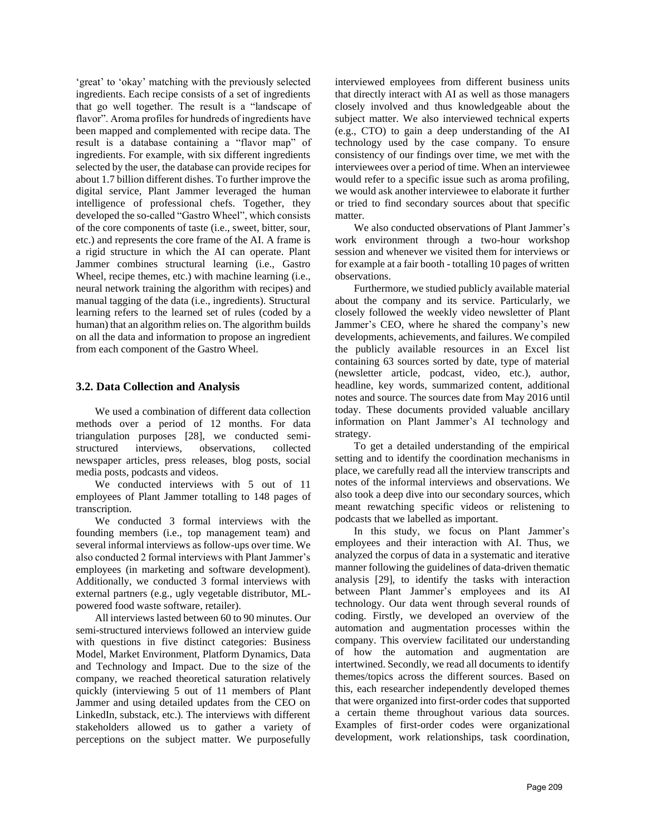'great' to 'okay' matching with the previously selected ingredients. Each recipe consists of a set of ingredients that go well together. The result is a "landscape of flavor". Aroma profiles for hundreds of ingredients have been mapped and complemented with recipe data. The result is a database containing a "flavor map" of ingredients. For example, with six different ingredients selected by the user, the database can provide recipes for about 1.7 billion different dishes. To further improve the digital service, Plant Jammer leveraged the human intelligence of professional chefs. Together, they developed the so-called "Gastro Wheel", which consists of the core components of taste (i.e., sweet, bitter, sour, etc.) and represents the core frame of the AI. A frame is a rigid structure in which the AI can operate. Plant Jammer combines structural learning (i.e., Gastro Wheel, recipe themes, etc.) with machine learning (i.e., neural network training the algorithm with recipes) and manual tagging of the data (i.e., ingredients). Structural learning refers to the learned set of rules (coded by a human) that an algorithm relies on. The algorithm builds on all the data and information to propose an ingredient from each component of the Gastro Wheel.

#### **3.2. Data Collection and Analysis**

We used a combination of different data collection methods over a period of 12 months. For data triangulation purposes [28], we conducted semistructured interviews, observations, collected newspaper articles, press releases, blog posts, social media posts, podcasts and videos.

We conducted interviews with 5 out of 11 employees of Plant Jammer totalling to 148 pages of transcription.

We conducted 3 formal interviews with the founding members (i.e., top management team) and several informal interviews as follow-ups over time. We also conducted 2 formal interviews with Plant Jammer's employees (in marketing and software development). Additionally, we conducted 3 formal interviews with external partners (e.g., ugly vegetable distributor, MLpowered food waste software, retailer).

All interviews lasted between 60 to 90 minutes. Our semi-structured interviews followed an interview guide with questions in five distinct categories: Business Model, Market Environment, Platform Dynamics, Data and Technology and Impact. Due to the size of the company, we reached theoretical saturation relatively quickly (interviewing 5 out of 11 members of Plant Jammer and using detailed updates from the CEO on LinkedIn, substack, etc.). The interviews with different stakeholders allowed us to gather a variety of perceptions on the subject matter. We purposefully

interviewed employees from different business units that directly interact with AI as well as those managers closely involved and thus knowledgeable about the subject matter. We also interviewed technical experts (e.g., CTO) to gain a deep understanding of the AI technology used by the case company. To ensure consistency of our findings over time, we met with the interviewees over a period of time. When an interviewee would refer to a specific issue such as aroma profiling, we would ask another interviewee to elaborate it further or tried to find secondary sources about that specific matter.

We also conducted observations of Plant Jammer's work environment through a two-hour workshop session and whenever we visited them for interviews or for example at a fair booth - totalling 10 pages of written observations.

Furthermore, we studied publicly available material about the company and its service. Particularly, we closely followed the weekly video newsletter of Plant Jammer's CEO, where he shared the company's new developments, achievements, and failures. We compiled the publicly available resources in an Excel list containing 63 sources sorted by date, type of material (newsletter article, podcast, video, etc.), author, headline, key words, summarized content, additional notes and source. The sources date from May 2016 until today. These documents provided valuable ancillary information on Plant Jammer's AI technology and strategy.

To get a detailed understanding of the empirical setting and to identify the coordination mechanisms in place, we carefully read all the interview transcripts and notes of the informal interviews and observations. We also took a deep dive into our secondary sources, which meant rewatching specific videos or relistening to podcasts that we labelled as important.

In this study, we focus on Plant Jammer's employees and their interaction with AI. Thus, we analyzed the corpus of data in a systematic and iterative manner following the guidelines of data-driven thematic analysis [29], to identify the tasks with interaction between Plant Jammer's employees and its AI technology. Our data went through several rounds of coding. Firstly, we developed an overview of the automation and augmentation processes within the company. This overview facilitated our understanding of how the automation and augmentation are intertwined. Secondly, we read all documents to identify themes/topics across the different sources. Based on this, each researcher independently developed themes that were organized into first-order codes that supported a certain theme throughout various data sources. Examples of first-order codes were organizational development, work relationships, task coordination,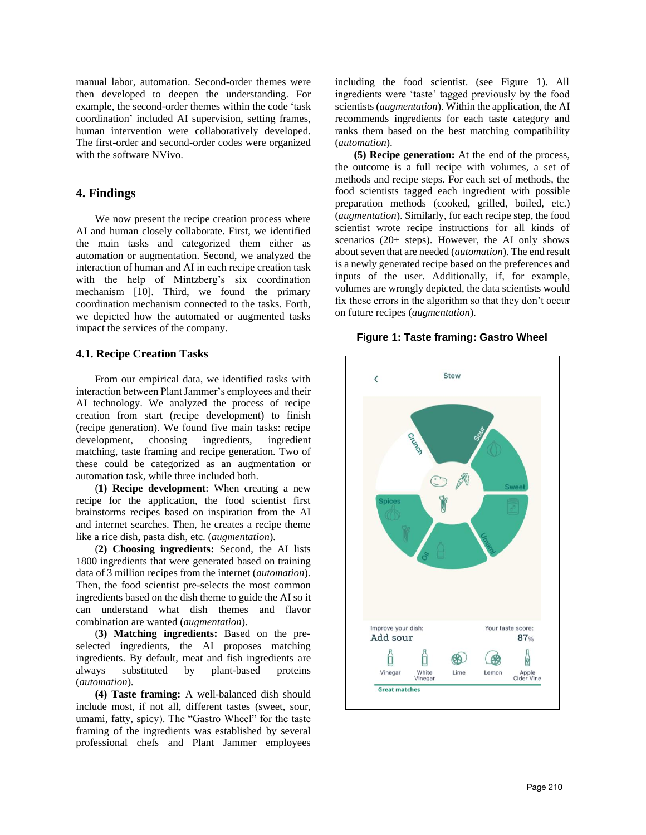manual labor, automation. Second-order themes were then developed to deepen the understanding. For example, the second-order themes within the code 'task coordination' included AI supervision, setting frames, human intervention were collaboratively developed. The first-order and second-order codes were organized with the software NVivo.

## **4. Findings**

We now present the recipe creation process where AI and human closely collaborate. First, we identified the main tasks and categorized them either as automation or augmentation. Second, we analyzed the interaction of human and AI in each recipe creation task with the help of Mintzberg's six coordination mechanism [10]. Third, we found the primary coordination mechanism connected to the tasks. Forth, we depicted how the automated or augmented tasks impact the services of the company.

#### **4.1. Recipe Creation Tasks**

From our empirical data, we identified tasks with interaction between Plant Jammer's employees and their AI technology. We analyzed the process of recipe creation from start (recipe development) to finish (recipe generation). We found five main tasks: recipe development, choosing ingredients, ingredient matching, taste framing and recipe generation. Two of these could be categorized as an augmentation or automation task, while three included both.

(**1) Recipe development**: When creating a new recipe for the application, the food scientist first brainstorms recipes based on inspiration from the AI and internet searches. Then, he creates a recipe theme like a rice dish, pasta dish, etc. (*augmentation*).

(**2) Choosing ingredients:** Second, the AI lists 1800 ingredients that were generated based on training data of 3 million recipes from the internet (*automation*). Then, the food scientist pre-selects the most common ingredients based on the dish theme to guide the AI so it can understand what dish themes and flavor combination are wanted (*augmentation*).

(**3) Matching ingredients:** Based on the preselected ingredients, the AI proposes matching ingredients. By default, meat and fish ingredients are always substituted by plant-based proteins (*automation*).

**(4) Taste framing:** A well-balanced dish should include most, if not all, different tastes (sweet, sour, umami, fatty, spicy). The "Gastro Wheel" for the taste framing of the ingredients was established by several professional chefs and Plant Jammer employees

including the food scientist. (see Figure 1). All ingredients were 'taste' tagged previously by the food scientists (*augmentation*). Within the application, the AI recommends ingredients for each taste category and ranks them based on the best matching compatibility (*automation*).

**(5) Recipe generation:** At the end of the process, the outcome is a full recipe with volumes, a set of methods and recipe steps. For each set of methods, the food scientists tagged each ingredient with possible preparation methods (cooked, grilled, boiled, etc.) (*augmentation*). Similarly, for each recipe step, the food scientist wrote recipe instructions for all kinds of scenarios (20+ steps). However, the AI only shows about seven that are needed (*automation*). The end result is a newly generated recipe based on the preferences and inputs of the user. Additionally, if, for example, volumes are wrongly depicted, the data scientists would fix these errors in the algorithm so that they don't occur on future recipes (*augmentation*).

#### **Figure 1: Taste framing: Gastro Wheel**

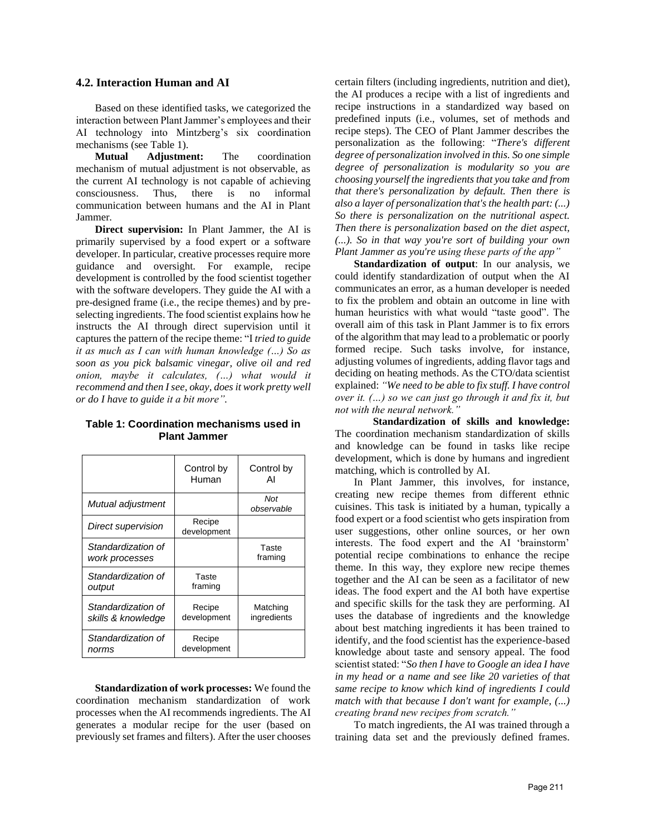#### **4.2. Interaction Human and AI**

Based on these identified tasks, we categorized the interaction between Plant Jammer's employees and their AI technology into Mintzberg's six coordination mechanisms (see Table 1).

**Mutual Adjustment:** The coordination mechanism of mutual adjustment is not observable, as the current AI technology is not capable of achieving consciousness. Thus, there is no informal communication between humans and the AI in Plant Jammer.

**Direct supervision:** In Plant Jammer, the AI is primarily supervised by a food expert or a software developer. In particular, creative processes require more guidance and oversight. For example, recipe development is controlled by the food scientist together with the software developers. They guide the AI with a pre-designed frame (i.e., the recipe themes) and by preselecting ingredients. The food scientist explains how he instructs the AI through direct supervision until it captures the pattern of the recipe theme: "I *tried to guide it as much as I can with human knowledge (…) So as soon as you pick balsamic vinegar, olive oil and red onion, maybe it calculates, (…) what would it recommend and then I see, okay, does it work pretty well or do I have to guide it a bit more".*

|                                          | Control by<br>Human   | Control by<br>Al        |
|------------------------------------------|-----------------------|-------------------------|
| Mutual adjustment                        |                       | Not<br>observable       |
| Direct supervision                       | Recipe<br>development |                         |
| Standardization of<br>work processes     |                       | Taste<br>framing        |
| Standardization of<br>output             | Taste<br>framing      |                         |
| Standardization of<br>skills & knowledge | Recipe<br>development | Matching<br>ingredients |
| Standardization of<br>norms              | Recipe<br>development |                         |

**Table 1: Coordination mechanisms used in Plant Jammer**

**Standardization of work processes:** We found the coordination mechanism standardization of work processes when the AI recommends ingredients. The AI generates a modular recipe for the user (based on previously set frames and filters). After the user chooses certain filters (including ingredients, nutrition and diet), the AI produces a recipe with a list of ingredients and recipe instructions in a standardized way based on predefined inputs (i.e., volumes, set of methods and recipe steps). The CEO of Plant Jammer describes the personalization as the following: "*There's different degree of personalization involved in this. So one simple degree of personalization is modularity so you are choosing yourself the ingredients that you take and from that there's personalization by default. Then there is also a layer of personalization that's the health part: (...) So there is personalization on the nutritional aspect. Then there is personalization based on the diet aspect, (...). So in that way you're sort of building your own Plant Jammer as you're using these parts of the app"*

**Standardization of output**: In our analysis, we could identify standardization of output when the AI communicates an error, as a human developer is needed to fix the problem and obtain an outcome in line with human heuristics with what would "taste good". The overall aim of this task in Plant Jammer is to fix errors of the algorithm that may lead to a problematic or poorly formed recipe. Such tasks involve, for instance, adjusting volumes of ingredients, adding flavor tags and deciding on heating methods. As the CTO/data scientist explained:*"We need to be able to fix stuff. I have control over it. (…) so we can just go through it and fix it, but not with the neural network."*

**Standardization of skills and knowledge:**  The coordination mechanism standardization of skills and knowledge can be found in tasks like recipe development, which is done by humans and ingredient matching, which is controlled by AI.

In Plant Jammer, this involves, for instance, creating new recipe themes from different ethnic cuisines. This task is initiated by a human, typically a food expert or a food scientist who gets inspiration from user suggestions, other online sources, or her own interests. The food expert and the AI 'brainstorm' potential recipe combinations to enhance the recipe theme. In this way, they explore new recipe themes together and the AI can be seen as a facilitator of new ideas. The food expert and the AI both have expertise and specific skills for the task they are performing. AI uses the database of ingredients and the knowledge about best matching ingredients it has been trained to identify, and the food scientist has the experience-based knowledge about taste and sensory appeal. The food scientist stated: "*So then I have to Google an idea I have in my head or a name and see like 20 varieties of that same recipe to know which kind of ingredients I could match with that because I don't want for example, (...) creating brand new recipes from scratch."*

To match ingredients, the AI was trained through a training data set and the previously defined frames.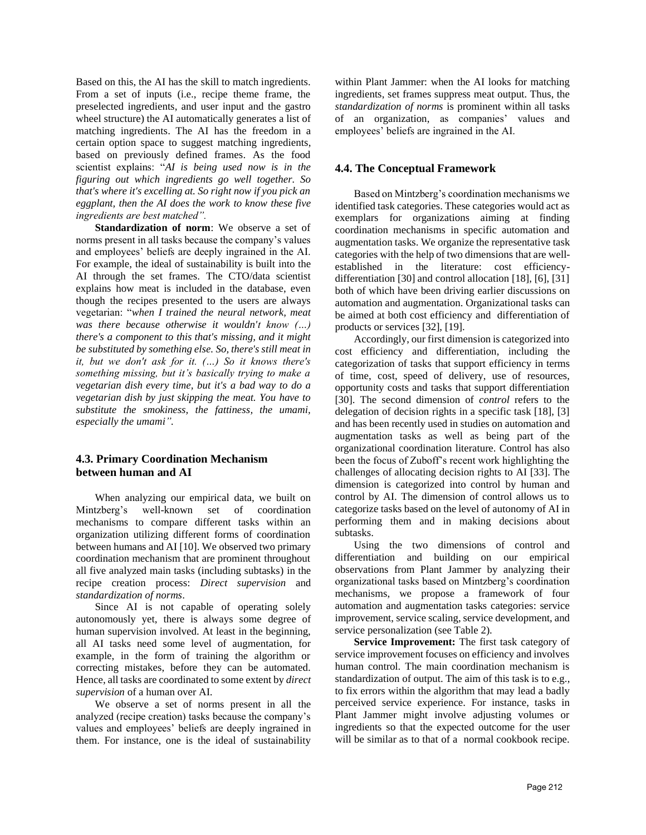Based on this, the AI has the skill to match ingredients. From a set of inputs (i.e., recipe theme frame, the preselected ingredients, and user input and the gastro wheel structure) the AI automatically generates a list of matching ingredients. The AI has the freedom in a certain option space to suggest matching ingredients, based on previously defined frames. As the food scientist explains: "*AI is being used now is in the figuring out which ingredients go well together. So that's where it's excelling at. So right now if you pick an eggplant, then the AI does the work to know these five ingredients are best matched".*

**Standardization of norm**: We observe a set of norms present in all tasks because the company's values and employees' beliefs are deeply ingrained in the AI. For example, the ideal of sustainability is built into the AI through the set frames. The CTO/data scientist explains how meat is included in the database, even though the recipes presented to the users are always vegetarian: "*when I trained the neural network, meat was there because otherwise it wouldn't know (…) there's a component to this that's missing, and it might be substituted by something else. So, there's still meat in it, but we don't ask for it. (…) So it knows there's something missing, but it's basically trying to make a vegetarian dish every time, but it's a bad way to do a vegetarian dish by just skipping the meat. You have to substitute the smokiness, the fattiness, the umami, especially the umami".*

## **4.3. Primary Coordination Mechanism between human and AI**

When analyzing our empirical data, we built on Mintzberg's well-known set of coordination mechanisms to compare different tasks within an organization utilizing different forms of coordination between humans and AI [10]. We observed two primary coordination mechanism that are prominent throughout all five analyzed main tasks (including subtasks) in the recipe creation process: *Direct supervision* and *standardization of norms*.

Since AI is not capable of operating solely autonomously yet, there is always some degree of human supervision involved. At least in the beginning, all AI tasks need some level of augmentation, for example, in the form of training the algorithm or correcting mistakes, before they can be automated. Hence, all tasks are coordinated to some extent by *direct supervision* of a human over AI.

We observe a set of norms present in all the analyzed (recipe creation) tasks because the company's values and employees' beliefs are deeply ingrained in them. For instance, one is the ideal of sustainability

within Plant Jammer: when the AI looks for matching ingredients, set frames suppress meat output. Thus, the *standardization of norms* is prominent within all tasks of an organization, as companies' values and employees' beliefs are ingrained in the AI.

## **4.4. The Conceptual Framework**

Based on Mintzberg's coordination mechanisms we identified task categories. These categories would act as exemplars for organizations aiming at finding coordination mechanisms in specific automation and augmentation tasks. We organize the representative task categories with the help of two dimensions that are wellestablished in the literature: cost efficiencydifferentiation [30] and control allocation [18], [6], [31] both of which have been driving earlier discussions on automation and augmentation. Organizational tasks can be aimed at both cost efficiency and differentiation of products or services [32], [19].

Accordingly, our first dimension is categorized into cost efficiency and differentiation, including the categorization of tasks that support efficiency in terms of time, cost, speed of delivery, use of resources, opportunity costs and tasks that support differentiation [30]. The second dimension of *control* refers to the delegation of decision rights in a specific task [18], [3] and has been recently used in studies on automation and augmentation tasks as well as being part of the organizational coordination literature. Control has also been the focus of Zuboff's recent work highlighting the challenges of allocating decision rights to AI [33]. The dimension is categorized into control by human and control by AI. The dimension of control allows us to categorize tasks based on the level of autonomy of AI in performing them and in making decisions about subtasks.

Using the two dimensions of control and differentiation and building on our empirical observations from Plant Jammer by analyzing their organizational tasks based on Mintzberg's coordination mechanisms, we propose a framework of four automation and augmentation tasks categories: service improvement, service scaling, service development, and service personalization (see Table 2).

**Service Improvement:** The first task category of service improvement focuses on efficiency and involves human control. The main coordination mechanism is standardization of output. The aim of this task is to e.g., to fix errors within the algorithm that may lead a badly perceived service experience. For instance, tasks in Plant Jammer might involve adjusting volumes or ingredients so that the expected outcome for the user will be similar as to that of a normal cookbook recipe.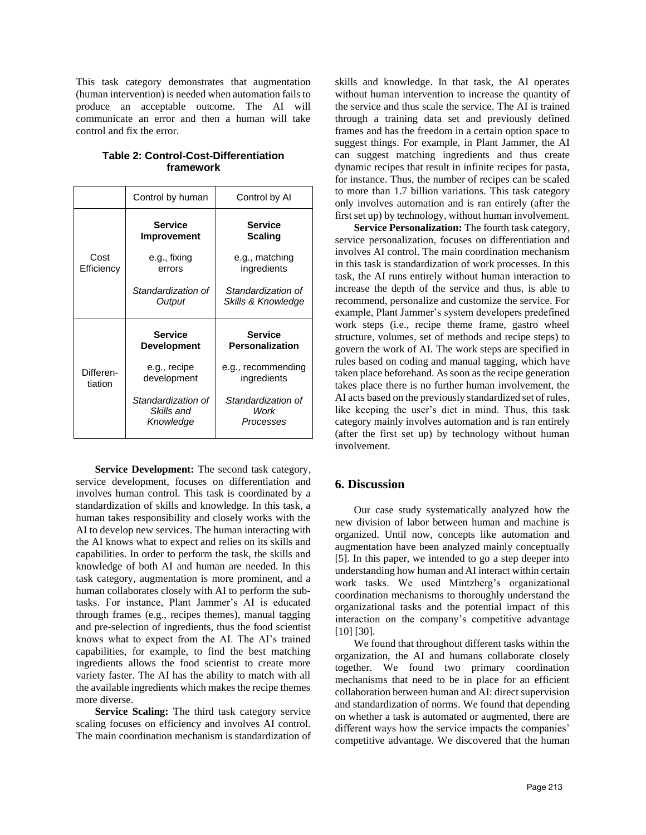This task category demonstrates that augmentation (human intervention) is needed when automation fails to produce an acceptable outcome. The AI will communicate an error and then a human will take control and fix the error.

|                      | Control by human                     | Control by Al                            |
|----------------------|--------------------------------------|------------------------------------------|
|                      | <b>Service</b><br><b>Improvement</b> | <b>Service</b><br><b>Scaling</b>         |
| Cost<br>Efficiency   | e.g., fixing<br>errors               | e.g., matching<br>ingredients            |
|                      | Standardization of<br>Output         | Standardization of<br>Skills & Knowledge |
|                      |                                      |                                          |
|                      | <b>Service</b><br><b>Development</b> | <b>Service</b><br><b>Personalization</b> |
| Differen-<br>tiation | e.g., recipe<br>development          | e.g., recommending<br>ingredients        |

**Table 2: Control-Cost-Differentiation framework**

**Service Development:** The second task category, service development, focuses on differentiation and involves human control. This task is coordinated by a standardization of skills and knowledge. In this task, a human takes responsibility and closely works with the AI to develop new services. The human interacting with the AI knows what to expect and relies on its skills and capabilities. In order to perform the task, the skills and knowledge of both AI and human are needed. In this task category, augmentation is more prominent, and a human collaborates closely with AI to perform the subtasks. For instance, Plant Jammer's AI is educated through frames (e.g., recipes themes), manual tagging and pre-selection of ingredients, thus the food scientist knows what to expect from the AI. The AI's trained capabilities, for example, to find the best matching ingredients allows the food scientist to create more variety faster. The AI has the ability to match with all the available ingredients which makes the recipe themes more diverse.

**Service Scaling:** The third task category service scaling focuses on efficiency and involves AI control. The main coordination mechanism is standardization of skills and knowledge. In that task, the AI operates without human intervention to increase the quantity of the service and thus scale the service. The AI is trained through a training data set and previously defined frames and has the freedom in a certain option space to suggest things. For example, in Plant Jammer, the AI can suggest matching ingredients and thus create dynamic recipes that result in infinite recipes for pasta, for instance. Thus, the number of recipes can be scaled to more than 1.7 billion variations. This task category only involves automation and is ran entirely (after the first set up) by technology, without human involvement.

**Service Personalization:** The fourth task category, service personalization, focuses on differentiation and involves AI control. The main coordination mechanism in this task is standardization of work processes. In this task, the AI runs entirely without human interaction to increase the depth of the service and thus, is able to recommend, personalize and customize the service. For example, Plant Jammer's system developers predefined work steps (i.e., recipe theme frame, gastro wheel structure, volumes, set of methods and recipe steps) to govern the work of AI. The work steps are specified in rules based on coding and manual tagging, which have taken place beforehand. As soon as the recipe generation takes place there is no further human involvement, the AI acts based on the previously standardized set of rules, like keeping the user's diet in mind. Thus, this task category mainly involves automation and is ran entirely (after the first set up) by technology without human involvement.

## **6. Discussion**

Our case study systematically analyzed how the new division of labor between human and machine is organized. Until now, concepts like automation and augmentation have been analyzed mainly conceptually [5]. In this paper, we intended to go a step deeper into understanding how human and AI interact within certain work tasks. We used Mintzberg's organizational coordination mechanisms to thoroughly understand the organizational tasks and the potential impact of this interaction on the company's competitive advantage [10] [30].

We found that throughout different tasks within the organization, the AI and humans collaborate closely together. We found two primary coordination mechanisms that need to be in place for an efficient collaboration between human and AI: direct supervision and standardization of norms. We found that depending on whether a task is automated or augmented, there are different ways how the service impacts the companies' competitive advantage. We discovered that the human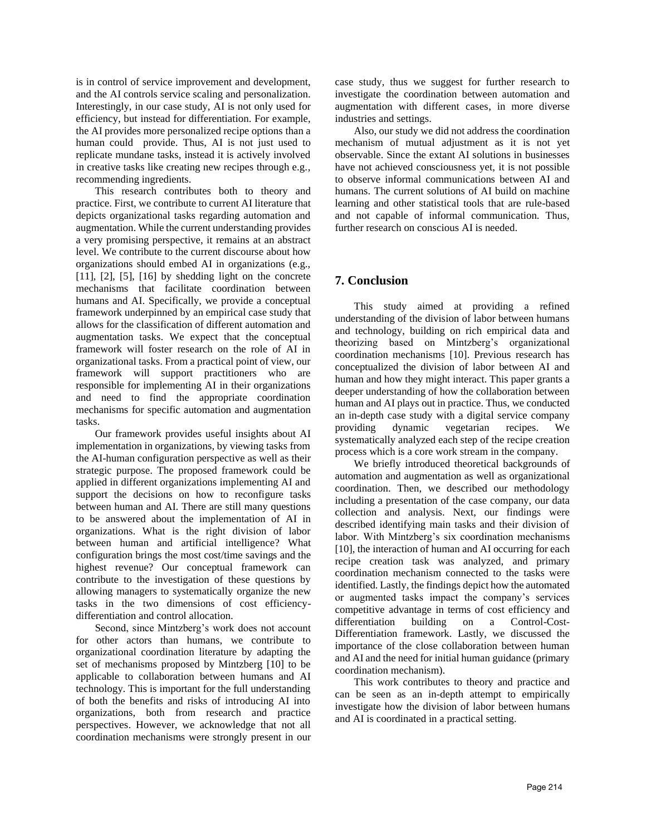is in control of service improvement and development, and the AI controls service scaling and personalization. Interestingly, in our case study, AI is not only used for efficiency, but instead for differentiation. For example, the AI provides more personalized recipe options than a human could provide. Thus, AI is not just used to replicate mundane tasks, instead it is actively involved in creative tasks like creating new recipes through e.g., recommending ingredients.

This research contributes both to theory and practice. First, we contribute to current AI literature that depicts organizational tasks regarding automation and augmentation. While the current understanding provides a very promising perspective, it remains at an abstract level. We contribute to the current discourse about how organizations should embed AI in organizations (e.g., [11], [2], [5], [16] by shedding light on the concrete mechanisms that facilitate coordination between humans and AI. Specifically, we provide a conceptual framework underpinned by an empirical case study that allows for the classification of different automation and augmentation tasks. We expect that the conceptual framework will foster research on the role of AI in organizational tasks. From a practical point of view, our framework will support practitioners who are responsible for implementing AI in their organizations and need to find the appropriate coordination mechanisms for specific automation and augmentation tasks.

Our framework provides useful insights about AI implementation in organizations, by viewing tasks from the AI-human configuration perspective as well as their strategic purpose. The proposed framework could be applied in different organizations implementing AI and support the decisions on how to reconfigure tasks between human and AI. There are still many questions to be answered about the implementation of AI in organizations. What is the right division of labor between human and artificial intelligence? What configuration brings the most cost/time savings and the highest revenue? Our conceptual framework can contribute to the investigation of these questions by allowing managers to systematically organize the new tasks in the two dimensions of cost efficiencydifferentiation and control allocation.

Second, since Mintzberg's work does not account for other actors than humans, we contribute to organizational coordination literature by adapting the set of mechanisms proposed by Mintzberg [10] to be applicable to collaboration between humans and AI technology. This is important for the full understanding of both the benefits and risks of introducing AI into organizations, both from research and practice perspectives. However, we acknowledge that not all coordination mechanisms were strongly present in our

case study, thus we suggest for further research to investigate the coordination between automation and augmentation with different cases, in more diverse industries and settings.

Also, our study we did not address the coordination mechanism of mutual adjustment as it is not yet observable. Since the extant AI solutions in businesses have not achieved consciousness yet, it is not possible to observe informal communications between AI and humans. The current solutions of AI build on machine learning and other statistical tools that are rule-based and not capable of informal communication. Thus, further research on conscious AI is needed.

# **7. Conclusion**

This study aimed at providing a refined understanding of the division of labor between humans and technology, building on rich empirical data and theorizing based on Mintzberg's organizational coordination mechanisms [10]. Previous research has conceptualized the division of labor between AI and human and how they might interact. This paper grants a deeper understanding of how the collaboration between human and AI plays out in practice. Thus, we conducted an in-depth case study with a digital service company providing dynamic vegetarian recipes. We systematically analyzed each step of the recipe creation process which is a core work stream in the company.

We briefly introduced theoretical backgrounds of automation and augmentation as well as organizational coordination. Then, we described our methodology including a presentation of the case company, our data collection and analysis. Next, our findings were described identifying main tasks and their division of labor. With Mintzberg's six coordination mechanisms [10], the interaction of human and AI occurring for each recipe creation task was analyzed, and primary coordination mechanism connected to the tasks were identified. Lastly, the findings depict how the automated or augmented tasks impact the company's services competitive advantage in terms of cost efficiency and differentiation building on a Control-Cost-Differentiation framework. Lastly, we discussed the importance of the close collaboration between human and AI and the need for initial human guidance (primary coordination mechanism).

This work contributes to theory and practice and can be seen as an in-depth attempt to empirically investigate how the division of labor between humans and AI is coordinated in a practical setting.